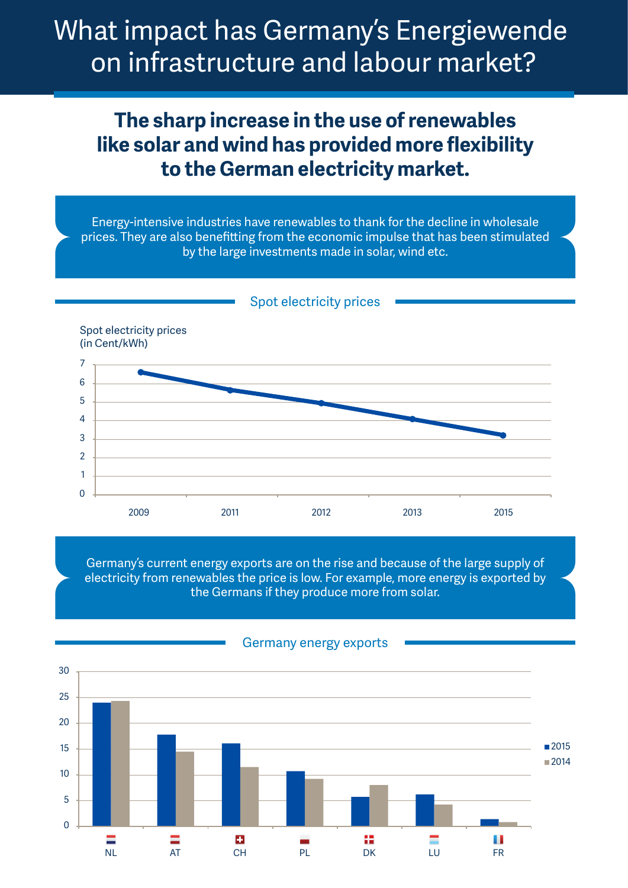# What impact has Germany's Energiewende on infrastructure and labour market?

### **The sharp increase in the use of renewables like solar and wind has provided more flexibility to the German electricity market.**

Energy-intensive industries have renewables to thank for the decline in wholesale prices. They are also benefitting from the economic impulse that has been stimulated by the large investments made in solar, wind etc.

Spot electricity prices



Germany's current energy exports are on the rise and because of the large supply of electricity from renewables the price is low. For example, more energy is exported by the Germans if they produce more from solar.



#### Germany energy exports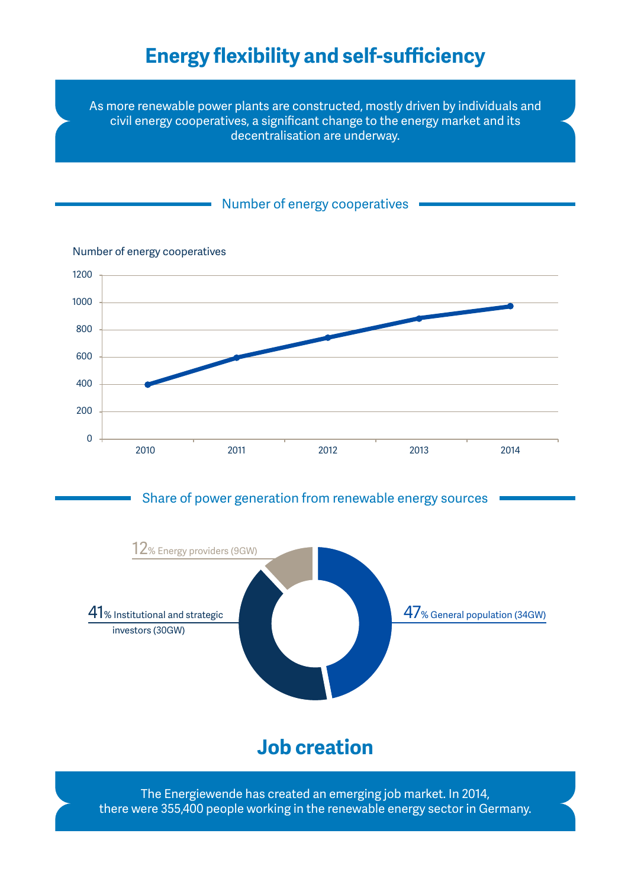## **Energy flexibility and self-sufficiency**

As more renewable power plants are constructed, mostly driven by individuals and civil energy cooperatives, a significant change to the energy market and its decentralisation are underway.

### Number of energy cooperatives



Number of energy cooperatives

The Energiewende has created an emerging job market. In 2014, there were 355,400 people working in the renewable energy sector in Germany.